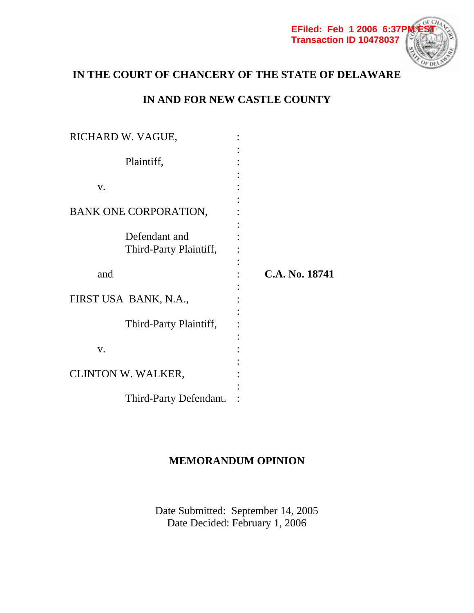

# **IN THE COURT OF CHANCERY OF THE STATE OF DELAWARE**

# **IN AND FOR NEW CASTLE COUNTY**

| RICHARD W. VAGUE,                       |                |
|-----------------------------------------|----------------|
| Plaintiff,                              |                |
| V.                                      |                |
| BANK ONE CORPORATION,                   |                |
| Defendant and<br>Third-Party Plaintiff, |                |
| and                                     | C.A. No. 18741 |
| FIRST USA BANK, N.A.,                   |                |
| Third-Party Plaintiff,                  |                |
| V.                                      |                |
| CLINTON W. WALKER,                      |                |
| Third-Party Defendant.                  |                |

# **MEMORANDUM OPINION**

Date Submitted: September 14, 2005 Date Decided: February 1, 2006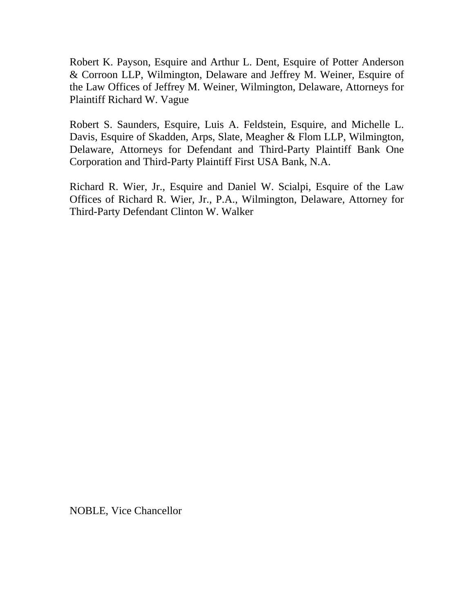Robert K. Payson, Esquire and Arthur L. Dent, Esquire of Potter Anderson & Corroon LLP, Wilmington, Delaware and Jeffrey M. Weiner, Esquire of the Law Offices of Jeffrey M. Weiner, Wilmington, Delaware, Attorneys for Plaintiff Richard W. Vague

Robert S. Saunders, Esquire, Luis A. Feldstein, Esquire, and Michelle L. Davis, Esquire of Skadden, Arps, Slate, Meagher & Flom LLP, Wilmington, Delaware, Attorneys for Defendant and Third-Party Plaintiff Bank One Corporation and Third-Party Plaintiff First USA Bank, N.A.

Richard R. Wier, Jr., Esquire and Daniel W. Scialpi, Esquire of the Law Offices of Richard R. Wier, Jr., P.A., Wilmington, Delaware, Attorney for Third-Party Defendant Clinton W. Walker

NOBLE, Vice Chancellor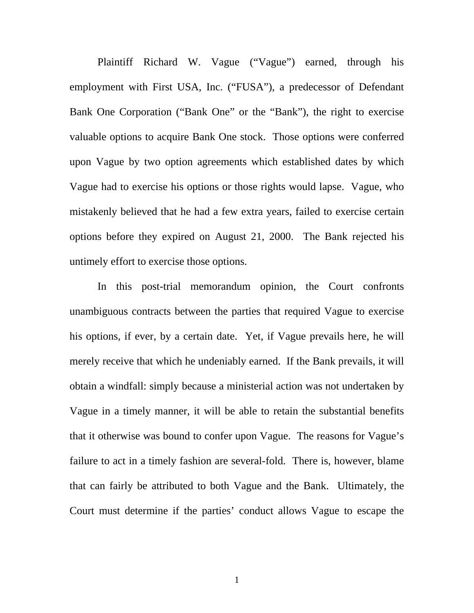Plaintiff Richard W. Vague ("Vague") earned, through his employment with First USA, Inc. ("FUSA"), a predecessor of Defendant Bank One Corporation ("Bank One" or the "Bank"), the right to exercise valuable options to acquire Bank One stock. Those options were conferred upon Vague by two option agreements which established dates by which Vague had to exercise his options or those rights would lapse. Vague, who mistakenly believed that he had a few extra years, failed to exercise certain options before they expired on August 21, 2000. The Bank rejected his untimely effort to exercise those options.

 In this post-trial memorandum opinion, the Court confronts unambiguous contracts between the parties that required Vague to exercise his options, if ever, by a certain date. Yet, if Vague prevails here, he will merely receive that which he undeniably earned. If the Bank prevails, it will obtain a windfall: simply because a ministerial action was not undertaken by Vague in a timely manner, it will be able to retain the substantial benefits that it otherwise was bound to confer upon Vague. The reasons for Vague's failure to act in a timely fashion are several-fold. There is, however, blame that can fairly be attributed to both Vague and the Bank. Ultimately, the Court must determine if the parties' conduct allows Vague to escape the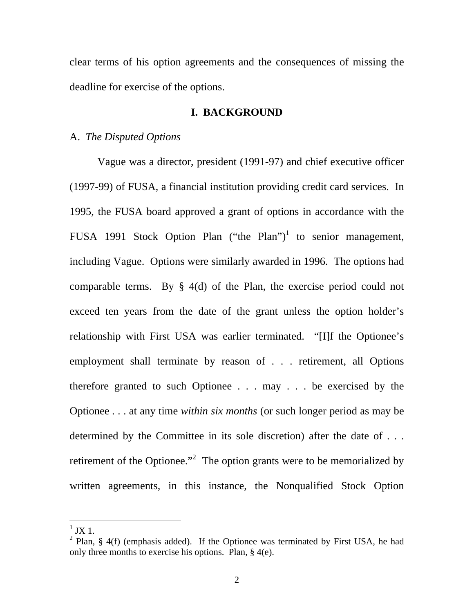clear terms of his option agreements and the consequences of missing the deadline for exercise of the options.

## **I. BACKGROUND**

## A. *The Disputed Options*

 Vague was a director, president (1991-97) and chief executive officer (1997-99) of FUSA, a financial institution providing credit card services. In 1995, the FUSA board approved a grant of options in accordance with the FUSA 1991 Stock Option Plan ("the Plan")<sup>1</sup> to senior management, including Vague. Options were similarly awarded in 1996. The options had comparable terms. By § 4(d) of the Plan, the exercise period could not exceed ten years from the date of the grant unless the option holder's relationship with First USA was earlier terminated. "[I]f the Optionee's employment shall terminate by reason of . . . retirement, all Options therefore granted to such Optionee . . . may . . . be exercised by the Optionee . . . at any time *within six months* (or such longer period as may be determined by the Committee in its sole discretion) after the date of . . . retirement of the Optionee. $\cdot$ <sup>2</sup> The option grants were to be memorialized by written agreements, in this instance, the Nonqualified Stock Option

 $1$  JX 1.

<sup>&</sup>lt;sup>2</sup> Plan, § 4(f) (emphasis added). If the Optionee was terminated by First USA, he had only three months to exercise his options. Plan, § 4(e).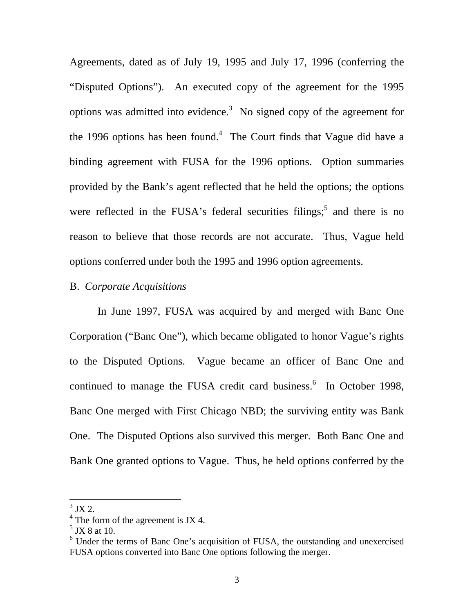Agreements, dated as of July 19, 1995 and July 17, 1996 (conferring the "Disputed Options"). An executed copy of the agreement for the 1995 options was admitted into evidence.<sup>3</sup> No signed copy of the agreement for the 1996 options has been found.<sup>4</sup> The Court finds that Vague did have a binding agreement with FUSA for the 1996 options. Option summaries provided by the Bank's agent reflected that he held the options; the options were reflected in the FUSA's federal securities filings; and there is no reason to believe that those records are not accurate. Thus, Vague held options conferred under both the 1995 and 1996 option agreements.

### B. *Corporate Acquisitions*

 In June 1997, FUSA was acquired by and merged with Banc One Corporation ("Banc One"), which became obligated to honor Vague's rights to the Disputed Options. Vague became an officer of Banc One and continued to manage the FUSA credit card business. $6$  In October 1998, Banc One merged with First Chicago NBD; the surviving entity was Bank One. The Disputed Options also survived this merger. Both Banc One and Bank One granted options to Vague. Thus, he held options conferred by the

 $3$  JX 2.

 $4$  The form of the agreement is JX 4.

 $<sup>5</sup>$  JX 8 at 10.</sup>

<sup>&</sup>lt;sup>6</sup> Under the terms of Banc One's acquisition of FUSA, the outstanding and unexercised FUSA options converted into Banc One options following the merger.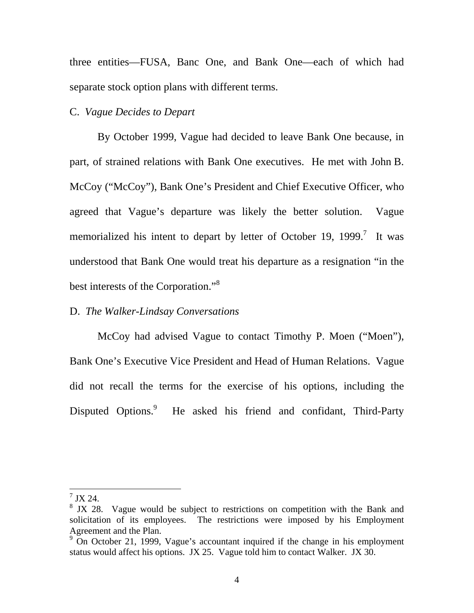three entities—FUSA, Banc One, and Bank One—each of which had separate stock option plans with different terms.

### C. *Vague Decides to Depart*

 By October 1999, Vague had decided to leave Bank One because, in part, of strained relations with Bank One executives. He met with John B. McCoy ("McCoy"), Bank One's President and Chief Executive Officer, who agreed that Vague's departure was likely the better solution. Vague memorialized his intent to depart by letter of October 19, 1999.<sup>7</sup> It was understood that Bank One would treat his departure as a resignation "in the best interests of the Corporation."<sup>8</sup>

### D. *The Walker-Lindsay Conversations*

 McCoy had advised Vague to contact Timothy P. Moen ("Moen"), Bank One's Executive Vice President and Head of Human Relations. Vague did not recall the terms for the exercise of his options, including the Disputed Options.<sup>9</sup> He asked his friend and confidant, Third-Party

 $^7$  JX 24.

 $8$  JX 28. Vague would be subject to restrictions on competition with the Bank and solicitation of its employees. The restrictions were imposed by his Employment Agreement and the Plan.

 $9\degree$  On October 21, 1999, Vague's accountant inquired if the change in his employment status would affect his options. JX 25. Vague told him to contact Walker. JX 30.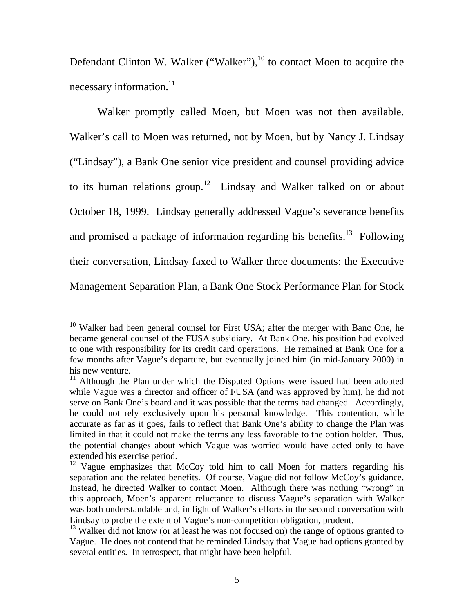Defendant Clinton W. Walker ("Walker"), $^{10}$  to contact Moen to acquire the necessary information.<sup>11</sup>

 Walker promptly called Moen, but Moen was not then available. Walker's call to Moen was returned, not by Moen, but by Nancy J. Lindsay ("Lindsay"), a Bank One senior vice president and counsel providing advice to its human relations group.<sup>12</sup> Lindsay and Walker talked on or about October 18, 1999. Lindsay generally addressed Vague's severance benefits and promised a package of information regarding his benefits.<sup>13</sup> Following their conversation, Lindsay faxed to Walker three documents: the Executive Management Separation Plan, a Bank One Stock Performance Plan for Stock

<sup>&</sup>lt;sup>10</sup> Walker had been general counsel for First USA; after the merger with Banc One, he became general counsel of the FUSA subsidiary. At Bank One, his position had evolved to one with responsibility for its credit card operations. He remained at Bank One for a few months after Vague's departure, but eventually joined him (in mid-January 2000) in his new venture.

 $11$  Although the Plan under which the Disputed Options were issued had been adopted while Vague was a director and officer of FUSA (and was approved by him), he did not serve on Bank One's board and it was possible that the terms had changed. Accordingly, he could not rely exclusively upon his personal knowledge. This contention, while accurate as far as it goes, fails to reflect that Bank One's ability to change the Plan was limited in that it could not make the terms any less favorable to the option holder. Thus, the potential changes about which Vague was worried would have acted only to have extended his exercise period.

<sup>&</sup>lt;sup>12</sup> Vague emphasizes that McCoy told him to call Moen for matters regarding his separation and the related benefits. Of course, Vague did not follow McCoy's guidance. Instead, he directed Walker to contact Moen. Although there was nothing "wrong" in this approach, Moen's apparent reluctance to discuss Vague's separation with Walker was both understandable and, in light of Walker's efforts in the second conversation with Lindsay to probe the extent of Vague's non-competition obligation, prudent.

 $13$  Walker did not know (or at least he was not focused on) the range of options granted to Vague. He does not contend that he reminded Lindsay that Vague had options granted by several entities. In retrospect, that might have been helpful.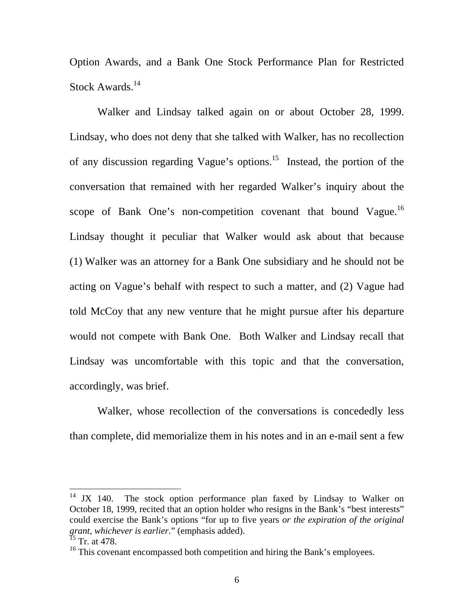Option Awards, and a Bank One Stock Performance Plan for Restricted Stock Awards.<sup>14</sup>

 Walker and Lindsay talked again on or about October 28, 1999. Lindsay, who does not deny that she talked with Walker, has no recollection of any discussion regarding Vague's options.<sup>15</sup> Instead, the portion of the conversation that remained with her regarded Walker's inquiry about the scope of Bank One's non-competition covenant that bound Vague.<sup>16</sup> Lindsay thought it peculiar that Walker would ask about that because (1) Walker was an attorney for a Bank One subsidiary and he should not be acting on Vague's behalf with respect to such a matter, and (2) Vague had told McCoy that any new venture that he might pursue after his departure would not compete with Bank One. Both Walker and Lindsay recall that Lindsay was uncomfortable with this topic and that the conversation, accordingly, was brief.

 Walker, whose recollection of the conversations is concededly less than complete, did memorialize them in his notes and in an e-mail sent a few

<sup>&</sup>lt;sup>14</sup> JX 140. The stock option performance plan faxed by Lindsay to Walker on October 18, 1999, recited that an option holder who resigns in the Bank's "best interests" could exercise the Bank's options "for up to five years *or the expiration of the original grant, whichever is earlier*." (emphasis added).

 $^{15}$  Tr. at 478.

 $16$ <sup>16</sup> This covenant encompassed both competition and hiring the Bank's employees.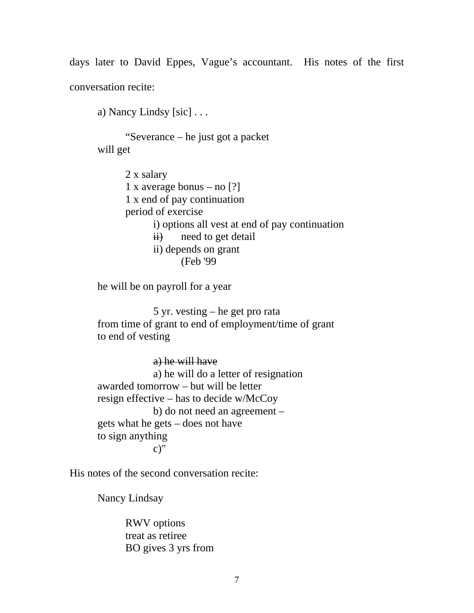days later to David Eppes, Vague's accountant. His notes of the first conversation recite:

a) Nancy Lindsy [sic] . . .

 "Severance – he just got a packet will get

> 2 x salary 1 x average bonus – no [?] 1 x end of pay continuation period of exercise i) options all vest at end of pay continuation  $\overrightarrow{ii}$  need to get detail ii) depends on grant (Feb '99

he will be on payroll for a year

 5 yr. vesting – he get pro rata from time of grant to end of employment/time of grant to end of vesting

 a) he will have a) he will do a letter of resignation awarded tomorrow – but will be letter resign effective – has to decide w/McCoy b) do not need an agreement – gets what he gets – does not have to sign anything  $c$ )"

His notes of the second conversation recite:

Nancy Lindsay

 RWV options treat as retiree BO gives 3 yrs from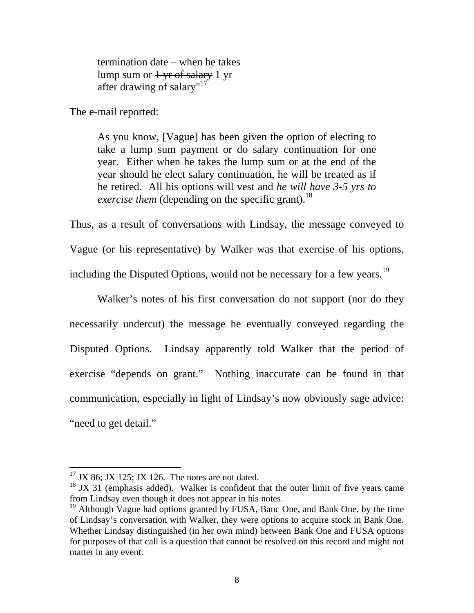termination date – when he takes lump sum or  $1 \text{ yr of salary} 1 \text{ yr}$ after drawing of salary"<sup>17</sup>

The e-mail reported:

As you know, [Vague] has been given the option of electing to take a lump sum payment or do salary continuation for one year. Either when he takes the lump sum or at the end of the year should he elect salary continuation, he will be treated as if he retired. All his options will vest and *he will have 3-5 yrs to exercise them* (depending on the specific grant).<sup>18</sup>

Thus, as a result of conversations with Lindsay, the message conveyed to Vague (or his representative) by Walker was that exercise of his options, including the Disputed Options, would not be necessary for a few years.<sup>19</sup>

 Walker's notes of his first conversation do not support (nor do they necessarily undercut) the message he eventually conveyed regarding the Disputed Options. Lindsay apparently told Walker that the period of exercise "depends on grant." Nothing inaccurate can be found in that communication, especially in light of Lindsay's now obviously sage advice: "need to get detail."

 $17$  JX 86; JX 125; JX 126. The notes are not dated.

 $18$  JX 31 (emphasis added). Walker is confident that the outer limit of five years came from Lindsay even though it does not appear in his notes.

 $19$  Although Vague had options granted by FUSA, Banc One, and Bank One, by the time of Lindsay's conversation with Walker, they were options to acquire stock in Bank One. Whether Lindsay distinguished (in her own mind) between Bank One and FUSA options for purposes of that call is a question that cannot be resolved on this record and might not matter in any event.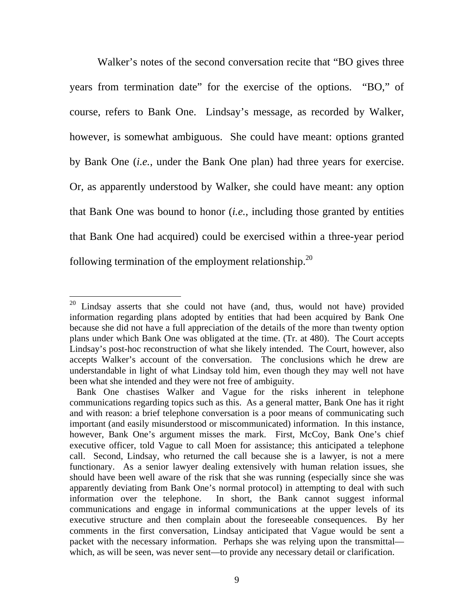Walker's notes of the second conversation recite that "BO gives three years from termination date" for the exercise of the options. "BO," of course, refers to Bank One. Lindsay's message, as recorded by Walker, however, is somewhat ambiguous. She could have meant: options granted by Bank One (*i.e.*, under the Bank One plan) had three years for exercise. Or, as apparently understood by Walker, she could have meant: any option that Bank One was bound to honor (*i.e.*, including those granted by entities that Bank One had acquired) could be exercised within a three-year period following termination of the employment relationship.<sup>20</sup>

<sup>&</sup>lt;sup>20</sup> Lindsay asserts that she could not have (and, thus, would not have) provided information regarding plans adopted by entities that had been acquired by Bank One because she did not have a full appreciation of the details of the more than twenty option plans under which Bank One was obligated at the time. (Tr. at 480). The Court accepts Lindsay's post-hoc reconstruction of what she likely intended. The Court, however, also accepts Walker's account of the conversation. The conclusions which he drew are understandable in light of what Lindsay told him, even though they may well not have been what she intended and they were not free of ambiguity.

Bank One chastises Walker and Vague for the risks inherent in telephone communications regarding topics such as this. As a general matter, Bank One has it right and with reason: a brief telephone conversation is a poor means of communicating such important (and easily misunderstood or miscommunicated) information. In this instance, however, Bank One's argument misses the mark. First, McCoy, Bank One's chief executive officer, told Vague to call Moen for assistance; this anticipated a telephone call. Second, Lindsay, who returned the call because she is a lawyer, is not a mere functionary. As a senior lawyer dealing extensively with human relation issues, she should have been well aware of the risk that she was running (especially since she was apparently deviating from Bank One's normal protocol) in attempting to deal with such information over the telephone. In short, the Bank cannot suggest informal communications and engage in informal communications at the upper levels of its executive structure and then complain about the foreseeable consequences. By her comments in the first conversation, Lindsay anticipated that Vague would be sent a packet with the necessary information. Perhaps she was relying upon the transmittal which, as will be seen, was never sent—to provide any necessary detail or clarification.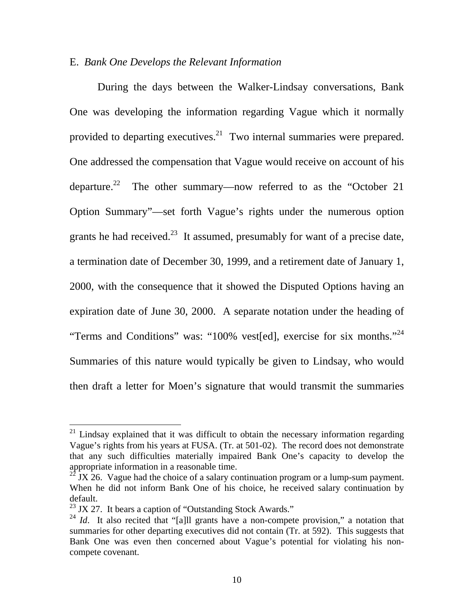# E. *Bank One Develops the Relevant Information*

 During the days between the Walker-Lindsay conversations, Bank One was developing the information regarding Vague which it normally provided to departing executives.<sup>21</sup> Two internal summaries were prepared. One addressed the compensation that Vague would receive on account of his departure.<sup>22</sup> The other summary—now referred to as the "October 21 Option Summary"—set forth Vague's rights under the numerous option grants he had received.<sup>23</sup> It assumed, presumably for want of a precise date, a termination date of December 30, 1999, and a retirement date of January 1, 2000, with the consequence that it showed the Disputed Options having an expiration date of June 30, 2000. A separate notation under the heading of "Terms and Conditions" was: "100% vest[ed], exercise for six months."<sup>24</sup> Summaries of this nature would typically be given to Lindsay, who would then draft a letter for Moen's signature that would transmit the summaries

 $21$  Lindsay explained that it was difficult to obtain the necessary information regarding Vague's rights from his years at FUSA. (Tr. at 501-02). The record does not demonstrate that any such difficulties materially impaired Bank One's capacity to develop the appropriate information in a reasonable time.

 $22 \text{ JX}$  26. Vague had the choice of a salary continuation program or a lump-sum payment. When he did not inform Bank One of his choice, he received salary continuation by default.

<sup>&</sup>lt;sup>23</sup> JX 27. It bears a caption of "Outstanding Stock Awards."

<sup>&</sup>lt;sup>24</sup> *Id*. It also recited that "[a]ll grants have a non-compete provision," a notation that summaries for other departing executives did not contain (Tr. at 592). This suggests that Bank One was even then concerned about Vague's potential for violating his noncompete covenant.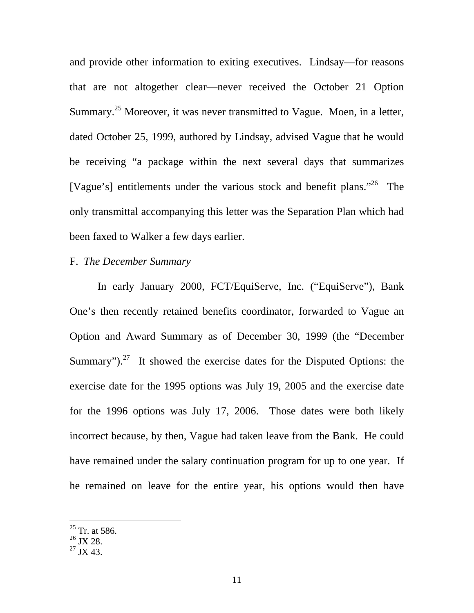and provide other information to exiting executives. Lindsay—for reasons that are not altogether clear—never received the October 21 Option Summary.<sup>25</sup> Moreover, it was never transmitted to Vague. Moen, in a letter, dated October 25, 1999, authored by Lindsay, advised Vague that he would be receiving "a package within the next several days that summarizes [Vague's] entitlements under the various stock and benefit plans."<sup>26</sup> The only transmittal accompanying this letter was the Separation Plan which had been faxed to Walker a few days earlier.

### F. *The December Summary*

 In early January 2000, FCT/EquiServe, Inc. ("EquiServe"), Bank One's then recently retained benefits coordinator, forwarded to Vague an Option and Award Summary as of December 30, 1999 (the "December Summary").<sup>27</sup> It showed the exercise dates for the Disputed Options: the exercise date for the 1995 options was July 19, 2005 and the exercise date for the 1996 options was July 17, 2006. Those dates were both likely incorrect because, by then, Vague had taken leave from the Bank. He could have remained under the salary continuation program for up to one year. If he remained on leave for the entire year, his options would then have

 $25$  Tr. at 586.

 $26$  JX 28.

 $^{27}$  JX 43.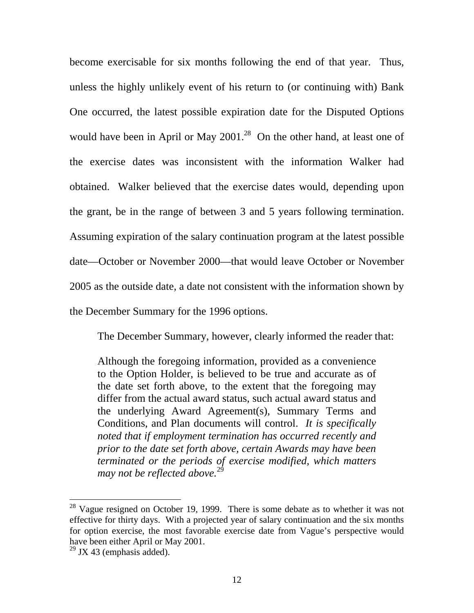become exercisable for six months following the end of that year. Thus, unless the highly unlikely event of his return to (or continuing with) Bank One occurred, the latest possible expiration date for the Disputed Options would have been in April or May  $2001<sup>28</sup>$  On the other hand, at least one of the exercise dates was inconsistent with the information Walker had obtained. Walker believed that the exercise dates would, depending upon the grant, be in the range of between 3 and 5 years following termination. Assuming expiration of the salary continuation program at the latest possible date—October or November 2000—that would leave October or November 2005 as the outside date, a date not consistent with the information shown by the December Summary for the 1996 options.

The December Summary, however, clearly informed the reader that:

Although the foregoing information, provided as a convenience to the Option Holder, is believed to be true and accurate as of the date set forth above, to the extent that the foregoing may differ from the actual award status, such actual award status and the underlying Award Agreement(s), Summary Terms and Conditions, and Plan documents will control. *It is specifically noted that if employment termination has occurred recently and prior to the date set forth above, certain Awards may have been terminated or the periods of exercise modified, which matters may not be reflected above.*<sup>29</sup>

 $28$  Vague resigned on October 19, 1999. There is some debate as to whether it was not effective for thirty days. With a projected year of salary continuation and the six months for option exercise, the most favorable exercise date from Vague's perspective would have been either April or May 2001.

 $29$  JX 43 (emphasis added).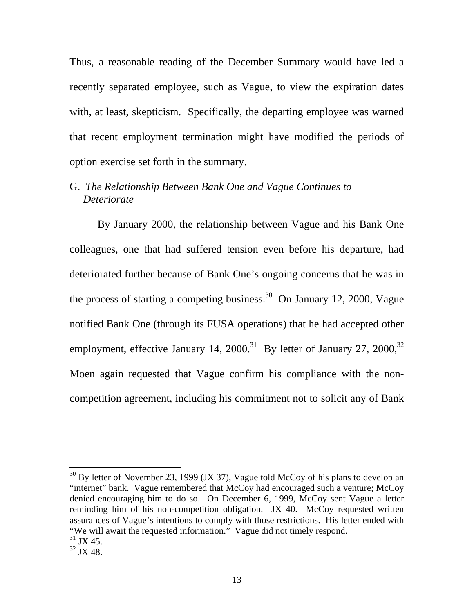Thus, a reasonable reading of the December Summary would have led a recently separated employee, such as Vague, to view the expiration dates with, at least, skepticism. Specifically, the departing employee was warned that recent employment termination might have modified the periods of option exercise set forth in the summary.

# G. *The Relationship Between Bank One and Vague Continues to Deteriorate*

 By January 2000, the relationship between Vague and his Bank One colleagues, one that had suffered tension even before his departure, had deteriorated further because of Bank One's ongoing concerns that he was in the process of starting a competing business.<sup>30</sup> On January 12, 2000, Vague notified Bank One (through its FUSA operations) that he had accepted other employment, effective January 14,  $2000$ .<sup>31</sup> By letter of January 27,  $2000$ <sup>32</sup> Moen again requested that Vague confirm his compliance with the noncompetition agreement, including his commitment not to solicit any of Bank

 $30$  By letter of November 23, 1999 (JX 37), Vague told McCoy of his plans to develop an "internet" bank. Vague remembered that McCoy had encouraged such a venture; McCoy denied encouraging him to do so. On December 6, 1999, McCoy sent Vague a letter reminding him of his non-competition obligation. JX 40. McCoy requested written assurances of Vague's intentions to comply with those restrictions. His letter ended with "We will await the requested information." Vague did not timely respond.

 $31$  JX 45.

 $32$  JX 48.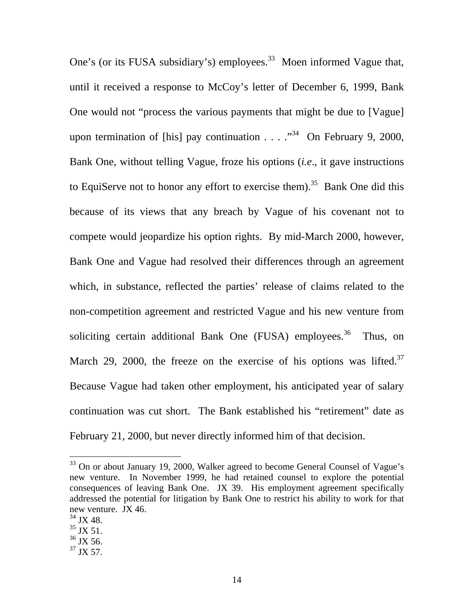One's (or its FUSA subsidiary's) employees.<sup>33</sup> Moen informed Vague that, until it received a response to McCoy's letter of December 6, 1999, Bank One would not "process the various payments that might be due to [Vague] upon termination of [his] pay continuation . . .  $.^{34}$  On February 9, 2000, Bank One, without telling Vague, froze his options (*i.e*., it gave instructions to EquiServe not to honor any effort to exercise them).<sup>35</sup> Bank One did this because of its views that any breach by Vague of his covenant not to compete would jeopardize his option rights. By mid-March 2000, however, Bank One and Vague had resolved their differences through an agreement which, in substance, reflected the parties' release of claims related to the non-competition agreement and restricted Vague and his new venture from soliciting certain additional Bank One  $(FUSA)$  employees.<sup>36</sup> Thus, on March 29, 2000, the freeze on the exercise of his options was lifted. $37$ Because Vague had taken other employment, his anticipated year of salary continuation was cut short. The Bank established his "retirement" date as February 21, 2000, but never directly informed him of that decision.

<sup>&</sup>lt;sup>33</sup> On or about January 19, 2000, Walker agreed to become General Counsel of Vague's new venture. In November 1999, he had retained counsel to explore the potential consequences of leaving Bank One. JX 39. His employment agreement specifically addressed the potential for litigation by Bank One to restrict his ability to work for that new venture. JX 46.

 $\frac{34}{35}$  JX 48.<br> $\frac{35}{3}$  JX 51.

 $36$  JX 56.

 $37$  JX 57.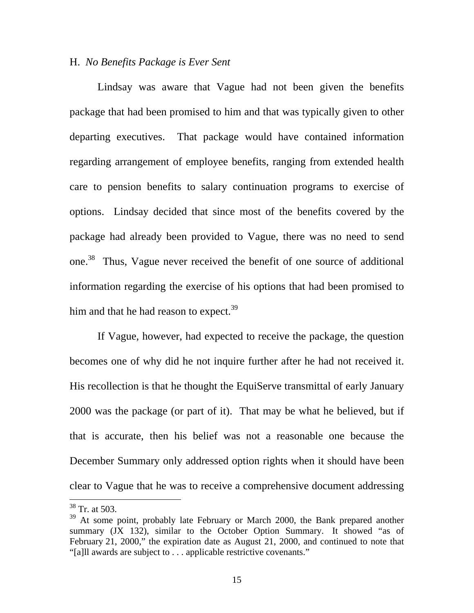#### H. *No Benefits Package is Ever Sent*

 Lindsay was aware that Vague had not been given the benefits package that had been promised to him and that was typically given to other departing executives. That package would have contained information regarding arrangement of employee benefits, ranging from extended health care to pension benefits to salary continuation programs to exercise of options. Lindsay decided that since most of the benefits covered by the package had already been provided to Vague, there was no need to send one.38 Thus, Vague never received the benefit of one source of additional information regarding the exercise of his options that had been promised to him and that he had reason to expect.<sup>39</sup>

 If Vague, however, had expected to receive the package, the question becomes one of why did he not inquire further after he had not received it. His recollection is that he thought the EquiServe transmittal of early January 2000 was the package (or part of it). That may be what he believed, but if that is accurate, then his belief was not a reasonable one because the December Summary only addressed option rights when it should have been clear to Vague that he was to receive a comprehensive document addressing

<sup>38</sup> Tr. at 503.

 $39$  At some point, probably late February or March 2000, the Bank prepared another summary (JX 132), similar to the October Option Summary. It showed "as of February 21, 2000," the expiration date as August 21, 2000, and continued to note that "[a]ll awards are subject to . . . applicable restrictive covenants."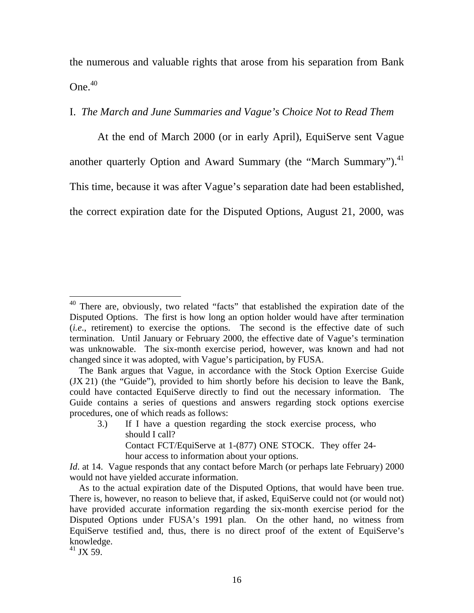the numerous and valuable rights that arose from his separation from Bank  $One.<sup>40</sup>$ 

# I. *The March and June Summaries and Vague's Choice Not to Read Them*

 At the end of March 2000 (or in early April), EquiServe sent Vague another quarterly Option and Award Summary (the "March Summary").<sup>41</sup> This time, because it was after Vague's separation date had been established, the correct expiration date for the Disputed Options, August 21, 2000, was

3.) If I have a question regarding the stock exercise process, who should I call? Contact FCT/EquiServe at 1-(877) ONE STOCK. They offer 24 hour access to information about your options.

 $41$  JX 59.

<sup>&</sup>lt;sup>40</sup> There are, obviously, two related "facts" that established the expiration date of the Disputed Options. The first is how long an option holder would have after termination (*i.e*., retirement) to exercise the options. The second is the effective date of such termination. Until January or February 2000, the effective date of Vague's termination was unknowable. The six-month exercise period, however, was known and had not changed since it was adopted, with Vague's participation, by FUSA.

The Bank argues that Vague, in accordance with the Stock Option Exercise Guide (JX 21) (the "Guide"), provided to him shortly before his decision to leave the Bank, could have contacted EquiServe directly to find out the necessary information. The Guide contains a series of questions and answers regarding stock options exercise procedures, one of which reads as follows:

*Id*. at 14. Vague responds that any contact before March (or perhaps late February) 2000 would not have yielded accurate information.

As to the actual expiration date of the Disputed Options, that would have been true. There is, however, no reason to believe that, if asked, EquiServe could not (or would not) have provided accurate information regarding the six-month exercise period for the Disputed Options under FUSA's 1991 plan. On the other hand, no witness from EquiServe testified and, thus, there is no direct proof of the extent of EquiServe's knowledge.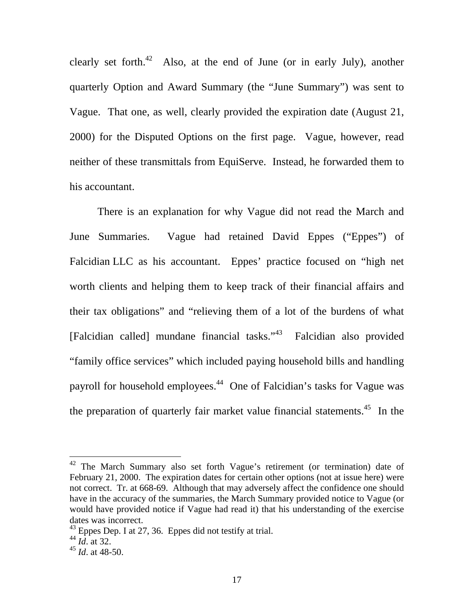clearly set forth.<sup>42</sup> Also, at the end of June (or in early July), another quarterly Option and Award Summary (the "June Summary") was sent to Vague. That one, as well, clearly provided the expiration date (August 21, 2000) for the Disputed Options on the first page. Vague, however, read neither of these transmittals from EquiServe. Instead, he forwarded them to his accountant.

 There is an explanation for why Vague did not read the March and June Summaries. Vague had retained David Eppes ("Eppes") of Falcidian LLC as his accountant. Eppes' practice focused on "high net worth clients and helping them to keep track of their financial affairs and their tax obligations" and "relieving them of a lot of the burdens of what [Falcidian called] mundane financial tasks."43 Falcidian also provided "family office services" which included paying household bills and handling payroll for household employees.<sup>44</sup> One of Falcidian's tasks for Vague was the preparation of quarterly fair market value financial statements.<sup>45</sup> In the

 $42$  The March Summary also set forth Vague's retirement (or termination) date of February 21, 2000. The expiration dates for certain other options (not at issue here) were not correct. Tr. at 668-69. Although that may adversely affect the confidence one should have in the accuracy of the summaries, the March Summary provided notice to Vague (or would have provided notice if Vague had read it) that his understanding of the exercise dates was incorrect.

 $43$  Eppes Dep. I at 27, 36. Eppes did not testify at trial.

<sup>44</sup> *Id*. at 32.

<sup>45</sup> *Id*. at 48-50.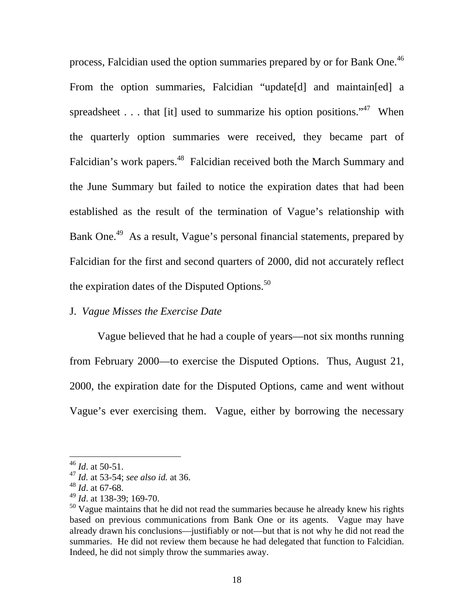process, Falcidian used the option summaries prepared by or for Bank One.<sup>46</sup> From the option summaries, Falcidian "update[d] and maintain[ed] a spreadsheet . . . that [it] used to summarize his option positions."<sup>47</sup> When the quarterly option summaries were received, they became part of Falcidian's work papers.<sup>48</sup> Falcidian received both the March Summary and the June Summary but failed to notice the expiration dates that had been established as the result of the termination of Vague's relationship with Bank One.<sup>49</sup> As a result, Vague's personal financial statements, prepared by Falcidian for the first and second quarters of 2000, did not accurately reflect the expiration dates of the Disputed Options.<sup>50</sup>

### J. *Vague Misses the Exercise Date*

 Vague believed that he had a couple of years—not six months running from February 2000—to exercise the Disputed Options. Thus, August 21, 2000, the expiration date for the Disputed Options, came and went without Vague's ever exercising them. Vague, either by borrowing the necessary

<sup>46</sup> *Id*. at 50-51.

<sup>47</sup> *Id.* at 53-54; *see also id.* at 36.

<sup>48</sup> *Id*. at 67-68.

<sup>49</sup> *Id*. at 138-39; 169-70.

 $50$  Vague maintains that he did not read the summaries because he already knew his rights based on previous communications from Bank One or its agents. Vague may have already drawn his conclusions—justifiably or not—but that is not why he did not read the summaries. He did not review them because he had delegated that function to Falcidian. Indeed, he did not simply throw the summaries away.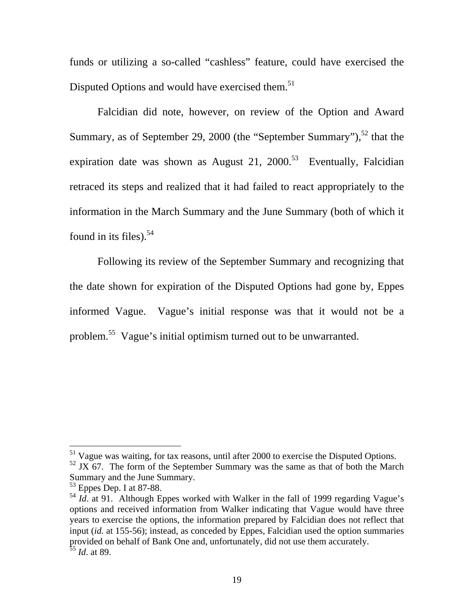funds or utilizing a so-called "cashless" feature, could have exercised the Disputed Options and would have exercised them.<sup>51</sup>

 Falcidian did note, however, on review of the Option and Award Summary, as of September 29, 2000 (the "September Summary"),  $52$  that the expiration date was shown as August 21, 2000.<sup>53</sup> Eventually, Falcidian retraced its steps and realized that it had failed to react appropriately to the information in the March Summary and the June Summary (both of which it found in its files). $54$ 

 Following its review of the September Summary and recognizing that the date shown for expiration of the Disputed Options had gone by, Eppes informed Vague. Vague's initial response was that it would not be a problem.55 Vague's initial optimism turned out to be unwarranted.

 $51$  Vague was waiting, for tax reasons, until after 2000 to exercise the Disputed Options.

 $52$  JX 67. The form of the September Summary was the same as that of both the March Summary and the June Summary.

<sup>&</sup>lt;sup>53</sup> Eppes Dep. I at 87-88.

<sup>&</sup>lt;sup>54</sup> *Id.* at 91. Although Eppes worked with Walker in the fall of 1999 regarding Vague's options and received information from Walker indicating that Vague would have three years to exercise the options, the information prepared by Falcidian does not reflect that input (*id.* at 155-56); instead, as conceded by Eppes, Falcidian used the option summaries provided on behalf of Bank One and, unfortunately, did not use them accurately. <sup>55</sup> *Id*. at 89.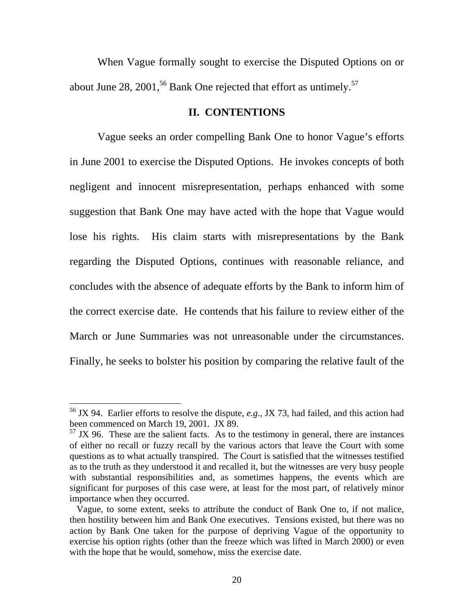When Vague formally sought to exercise the Disputed Options on or about June 28, 2001,<sup>56</sup> Bank One rejected that effort as untimely.<sup>57</sup>

### **II. CONTENTIONS**

 Vague seeks an order compelling Bank One to honor Vague's efforts in June 2001 to exercise the Disputed Options. He invokes concepts of both negligent and innocent misrepresentation, perhaps enhanced with some suggestion that Bank One may have acted with the hope that Vague would lose his rights. His claim starts with misrepresentations by the Bank regarding the Disputed Options, continues with reasonable reliance, and concludes with the absence of adequate efforts by the Bank to inform him of the correct exercise date. He contends that his failure to review either of the March or June Summaries was not unreasonable under the circumstances. Finally, he seeks to bolster his position by comparing the relative fault of the

<sup>56</sup> JX 94. Earlier efforts to resolve the dispute, *e.g.*, JX 73, had failed, and this action had been commenced on March 19, 2001. JX 89.

 $57$  JX 96. These are the salient facts. As to the testimony in general, there are instances of either no recall or fuzzy recall by the various actors that leave the Court with some questions as to what actually transpired. The Court is satisfied that the witnesses testified as to the truth as they understood it and recalled it, but the witnesses are very busy people with substantial responsibilities and, as sometimes happens, the events which are significant for purposes of this case were, at least for the most part, of relatively minor importance when they occurred.

Vague, to some extent, seeks to attribute the conduct of Bank One to, if not malice, then hostility between him and Bank One executives. Tensions existed, but there was no action by Bank One taken for the purpose of depriving Vague of the opportunity to exercise his option rights (other than the freeze which was lifted in March 2000) or even with the hope that he would, somehow, miss the exercise date.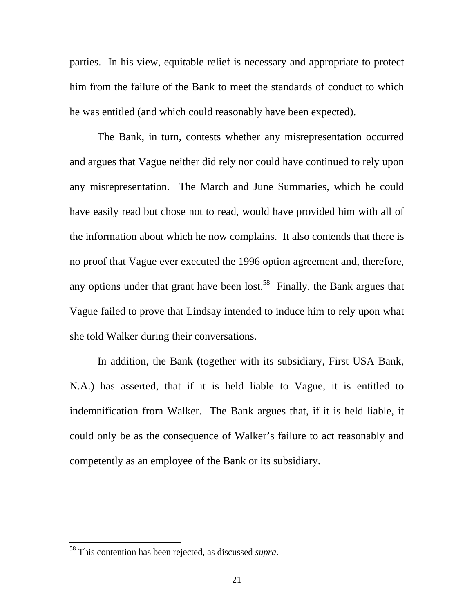parties. In his view, equitable relief is necessary and appropriate to protect him from the failure of the Bank to meet the standards of conduct to which he was entitled (and which could reasonably have been expected).

 The Bank, in turn, contests whether any misrepresentation occurred and argues that Vague neither did rely nor could have continued to rely upon any misrepresentation. The March and June Summaries, which he could have easily read but chose not to read, would have provided him with all of the information about which he now complains. It also contends that there is no proof that Vague ever executed the 1996 option agreement and, therefore, any options under that grant have been lost.<sup>58</sup> Finally, the Bank argues that Vague failed to prove that Lindsay intended to induce him to rely upon what she told Walker during their conversations.

 In addition, the Bank (together with its subsidiary, First USA Bank, N.A.) has asserted, that if it is held liable to Vague, it is entitled to indemnification from Walker. The Bank argues that, if it is held liable, it could only be as the consequence of Walker's failure to act reasonably and competently as an employee of the Bank or its subsidiary.

<sup>58</sup> This contention has been rejected, as discussed *supra*.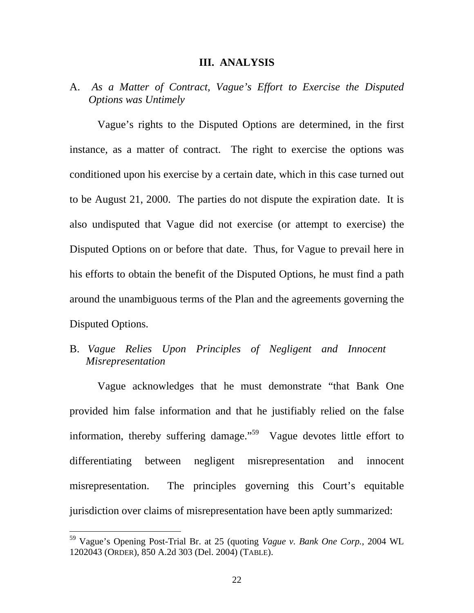#### **III. ANALYSIS**

# A. *As a Matter of Contract, Vague's Effort to Exercise the Disputed Options was Untimely*

 Vague's rights to the Disputed Options are determined, in the first instance, as a matter of contract. The right to exercise the options was conditioned upon his exercise by a certain date, which in this case turned out to be August 21, 2000. The parties do not dispute the expiration date. It is also undisputed that Vague did not exercise (or attempt to exercise) the Disputed Options on or before that date. Thus, for Vague to prevail here in his efforts to obtain the benefit of the Disputed Options, he must find a path around the unambiguous terms of the Plan and the agreements governing the Disputed Options.

# B. *Vague Relies Upon Principles of Negligent and Innocent Misrepresentation*

 Vague acknowledges that he must demonstrate "that Bank One provided him false information and that he justifiably relied on the false information, thereby suffering damage.<sup> $59$ </sup> Vague devotes little effort to differentiating between negligent misrepresentation and innocent misrepresentation. The principles governing this Court's equitable jurisdiction over claims of misrepresentation have been aptly summarized:

<sup>59</sup> Vague's Opening Post-Trial Br. at 25 (quoting *Vague v. Bank One Corp.*, 2004 WL 1202043 (ORDER), 850 A.2d 303 (Del. 2004) (TABLE).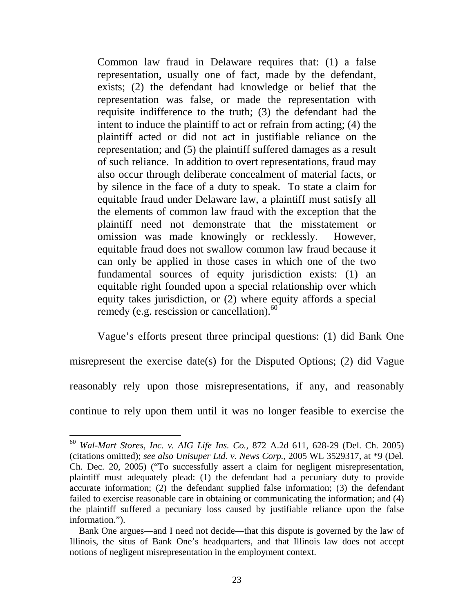Common law fraud in Delaware requires that: (1) a false representation, usually one of fact, made by the defendant, exists; (2) the defendant had knowledge or belief that the representation was false, or made the representation with requisite indifference to the truth; (3) the defendant had the intent to induce the plaintiff to act or refrain from acting; (4) the plaintiff acted or did not act in justifiable reliance on the representation; and (5) the plaintiff suffered damages as a result of such reliance. In addition to overt representations, fraud may also occur through deliberate concealment of material facts, or by silence in the face of a duty to speak. To state a claim for equitable fraud under Delaware law, a plaintiff must satisfy all the elements of common law fraud with the exception that the plaintiff need not demonstrate that the misstatement or omission was made knowingly or recklessly. However, equitable fraud does not swallow common law fraud because it can only be applied in those cases in which one of the two fundamental sources of equity jurisdiction exists: (1) an equitable right founded upon a special relationship over which equity takes jurisdiction, or (2) where equity affords a special remedy (e.g. rescission or cancellation). $60$ 

 Vague's efforts present three principal questions: (1) did Bank One misrepresent the exercise date(s) for the Disputed Options; (2) did Vague reasonably rely upon those misrepresentations, if any, and reasonably continue to rely upon them until it was no longer feasible to exercise the

<sup>60</sup> *Wal-Mart Stores, Inc. v. AIG Life Ins. Co.*, 872 A.2d 611, 628-29 (Del. Ch. 2005) (citations omitted); *see also Unisuper Ltd. v. News Corp.*, 2005 WL 3529317, at \*9 (Del. Ch. Dec. 20, 2005) ("To successfully assert a claim for negligent misrepresentation, plaintiff must adequately plead: (1) the defendant had a pecuniary duty to provide accurate information; (2) the defendant supplied false information; (3) the defendant failed to exercise reasonable care in obtaining or communicating the information; and (4) the plaintiff suffered a pecuniary loss caused by justifiable reliance upon the false information.").

Bank One argues—and I need not decide—that this dispute is governed by the law of Illinois, the situs of Bank One's headquarters, and that Illinois law does not accept notions of negligent misrepresentation in the employment context.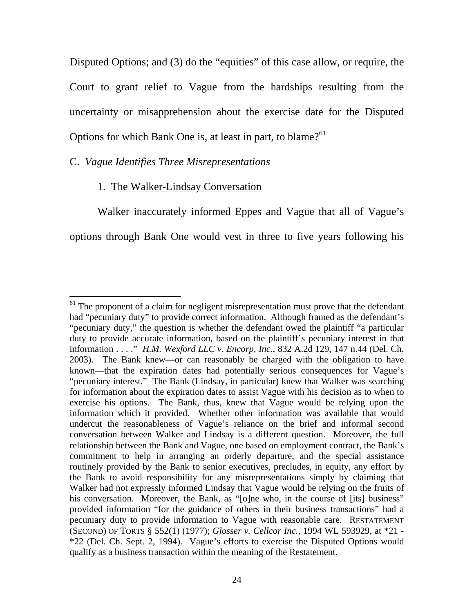Disputed Options; and (3) do the "equities" of this case allow, or require, the Court to grant relief to Vague from the hardships resulting from the uncertainty or misapprehension about the exercise date for the Disputed Options for which Bank One is, at least in part, to blame?<sup>61</sup>

### C. *Vague Identifies Three Misrepresentations*

### 1. The Walker-Lindsay Conversation

 Walker inaccurately informed Eppes and Vague that all of Vague's options through Bank One would vest in three to five years following his

 $\overline{a}$  $61$  The proponent of a claim for negligent misrepresentation must prove that the defendant had "pecuniary duty" to provide correct information. Although framed as the defendant's "pecuniary duty," the question is whether the defendant owed the plaintiff "a particular duty to provide accurate information, based on the plaintiff's pecuniary interest in that information . . . ." *H.M. Wexford LLC v. Encorp, Inc.*, 832 A.2d 129, 147 n.44 (Del. Ch. 2003). The Bank knew—or can reasonably be charged with the obligation to have known—that the expiration dates had potentially serious consequences for Vague's "pecuniary interest." The Bank (Lindsay, in particular) knew that Walker was searching for information about the expiration dates to assist Vague with his decision as to when to exercise his options. The Bank, thus, knew that Vague would be relying upon the information which it provided. Whether other information was available that would undercut the reasonableness of Vague's reliance on the brief and informal second conversation between Walker and Lindsay is a different question. Moreover, the full relationship between the Bank and Vague, one based on employment contract, the Bank's commitment to help in arranging an orderly departure, and the special assistance routinely provided by the Bank to senior executives, precludes, in equity, any effort by the Bank to avoid responsibility for any misrepresentations simply by claiming that Walker had not expressly informed Lindsay that Vague would be relying on the fruits of his conversation. Moreover, the Bank, as "[o]ne who, in the course of [its] business" provided information "for the guidance of others in their business transactions" had a pecuniary duty to provide information to Vague with reasonable care. RESTATEMENT (SECOND) OF TORTS § 552(1) (1977); *Glosser v. Cellcor Inc.*, 1994 WL 593929, at \*21 - \*22 (Del. Ch. Sept. 2, 1994). Vague's efforts to exercise the Disputed Options would qualify as a business transaction within the meaning of the Restatement.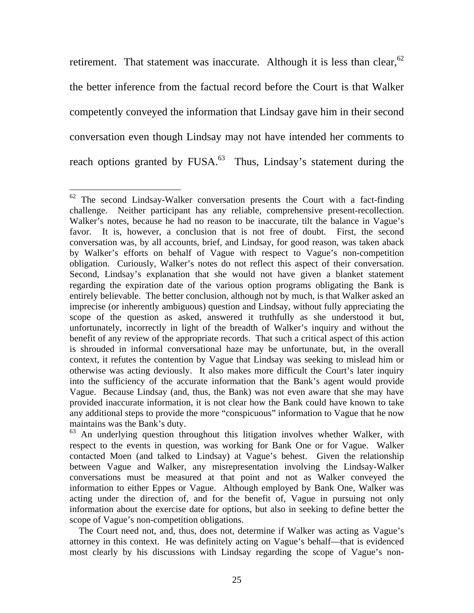retirement. That statement was inaccurate. Although it is less than clear,  $62$ the better inference from the factual record before the Court is that Walker competently conveyed the information that Lindsay gave him in their second conversation even though Lindsay may not have intended her comments to reach options granted by  $FUSA.<sup>63</sup>$  Thus, Lindsay's statement during the

 The Court need not, and, thus, does not, determine if Walker was acting as Vague's attorney in this context. He was definitely acting on Vague's behalf—that is evidenced most clearly by his discussions with Lindsay regarding the scope of Vague's non-

 $\overline{a}$  $62$  The second Lindsay-Walker conversation presents the Court with a fact-finding challenge. Neither participant has any reliable, comprehensive present-recollection. Walker's notes, because he had no reason to be inaccurate, tilt the balance in Vague's favor. It is, however, a conclusion that is not free of doubt. First, the second conversation was, by all accounts, brief, and Lindsay, for good reason, was taken aback by Walker's efforts on behalf of Vague with respect to Vague's non-competition obligation. Curiously, Walker's notes do not reflect this aspect of their conversation. Second, Lindsay's explanation that she would not have given a blanket statement regarding the expiration date of the various option programs obligating the Bank is entirely believable. The better conclusion, although not by much, is that Walker asked an imprecise (or inherently ambiguous) question and Lindsay, without fully appreciating the scope of the question as asked, answered it truthfully as she understood it but, unfortunately, incorrectly in light of the breadth of Walker's inquiry and without the benefit of any review of the appropriate records. That such a critical aspect of this action is shrouded in informal conversational haze may be unfortunate, but, in the overall context, it refutes the contention by Vague that Lindsay was seeking to mislead him or otherwise was acting deviously. It also makes more difficult the Court's later inquiry into the sufficiency of the accurate information that the Bank's agent would provide Vague. Because Lindsay (and, thus, the Bank) was not even aware that she may have provided inaccurate information, it is not clear how the Bank could have known to take any additional steps to provide the more "conspicuous" information to Vague that he now maintains was the Bank's duty.

 $63$  An underlying question throughout this litigation involves whether Walker, with respect to the events in question, was working for Bank One or for Vague. Walker contacted Moen (and talked to Lindsay) at Vague's behest. Given the relationship between Vague and Walker, any misrepresentation involving the Lindsay-Walker conversations must be measured at that point and not as Walker conveyed the information to either Eppes or Vague. Although employed by Bank One, Walker was acting under the direction of, and for the benefit of, Vague in pursuing not only information about the exercise date for options, but also in seeking to define better the scope of Vague's non-competition obligations.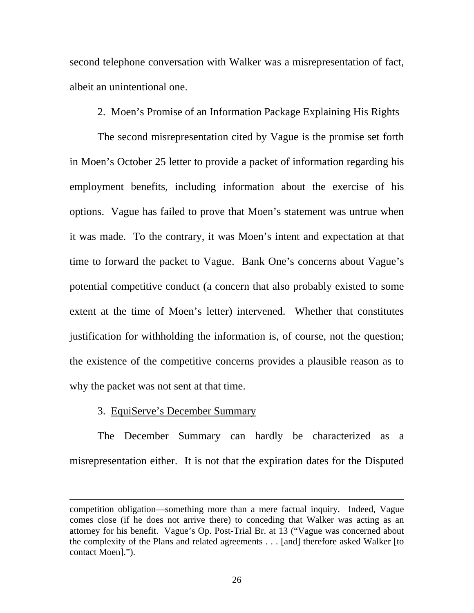second telephone conversation with Walker was a misrepresentation of fact, albeit an unintentional one.

### 2. Moen's Promise of an Information Package Explaining His Rights

 The second misrepresentation cited by Vague is the promise set forth in Moen's October 25 letter to provide a packet of information regarding his employment benefits, including information about the exercise of his options. Vague has failed to prove that Moen's statement was untrue when it was made. To the contrary, it was Moen's intent and expectation at that time to forward the packet to Vague. Bank One's concerns about Vague's potential competitive conduct (a concern that also probably existed to some extent at the time of Moen's letter) intervened. Whether that constitutes justification for withholding the information is, of course, not the question; the existence of the competitive concerns provides a plausible reason as to why the packet was not sent at that time.

### 3. EquiServe's December Summary

 $\overline{a}$ 

 The December Summary can hardly be characterized as a misrepresentation either. It is not that the expiration dates for the Disputed

competition obligation—something more than a mere factual inquiry. Indeed, Vague comes close (if he does not arrive there) to conceding that Walker was acting as an attorney for his benefit. Vague's Op. Post-Trial Br. at 13 ("Vague was concerned about the complexity of the Plans and related agreements . . . [and] therefore asked Walker [to contact Moen].").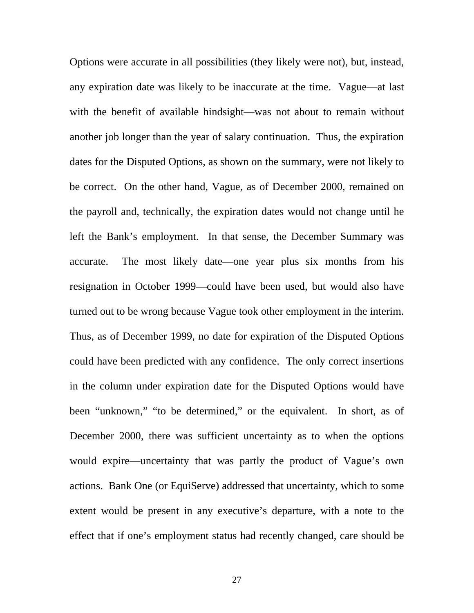Options were accurate in all possibilities (they likely were not), but, instead, any expiration date was likely to be inaccurate at the time. Vague—at last with the benefit of available hindsight—was not about to remain without another job longer than the year of salary continuation. Thus, the expiration dates for the Disputed Options, as shown on the summary, were not likely to be correct. On the other hand, Vague, as of December 2000, remained on the payroll and, technically, the expiration dates would not change until he left the Bank's employment. In that sense, the December Summary was accurate. The most likely date—one year plus six months from his resignation in October 1999—could have been used, but would also have turned out to be wrong because Vague took other employment in the interim. Thus, as of December 1999, no date for expiration of the Disputed Options could have been predicted with any confidence. The only correct insertions in the column under expiration date for the Disputed Options would have been "unknown," "to be determined," or the equivalent. In short, as of December 2000, there was sufficient uncertainty as to when the options would expire—uncertainty that was partly the product of Vague's own actions. Bank One (or EquiServe) addressed that uncertainty, which to some extent would be present in any executive's departure, with a note to the effect that if one's employment status had recently changed, care should be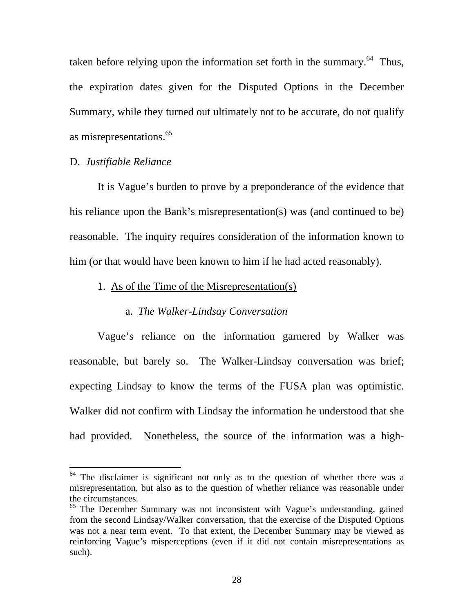taken before relying upon the information set forth in the summary. $64$  Thus, the expiration dates given for the Disputed Options in the December Summary, while they turned out ultimately not to be accurate, do not qualify as misrepresentations.<sup>65</sup>

### D. *Justifiable Reliance*

 $\overline{a}$ 

 It is Vague's burden to prove by a preponderance of the evidence that his reliance upon the Bank's misrepresentation(s) was (and continued to be) reasonable. The inquiry requires consideration of the information known to him (or that would have been known to him if he had acted reasonably).

## 1. As of the Time of the Misrepresentation(s)

### a. *The Walker-Lindsay Conversation*

 Vague's reliance on the information garnered by Walker was reasonable, but barely so. The Walker-Lindsay conversation was brief; expecting Lindsay to know the terms of the FUSA plan was optimistic. Walker did not confirm with Lindsay the information he understood that she had provided. Nonetheless, the source of the information was a high-

 $64$  The disclaimer is significant not only as to the question of whether there was a misrepresentation, but also as to the question of whether reliance was reasonable under the circumstances.

<sup>65</sup> The December Summary was not inconsistent with Vague's understanding, gained from the second Lindsay/Walker conversation, that the exercise of the Disputed Options was not a near term event. To that extent, the December Summary may be viewed as reinforcing Vague's misperceptions (even if it did not contain misrepresentations as such).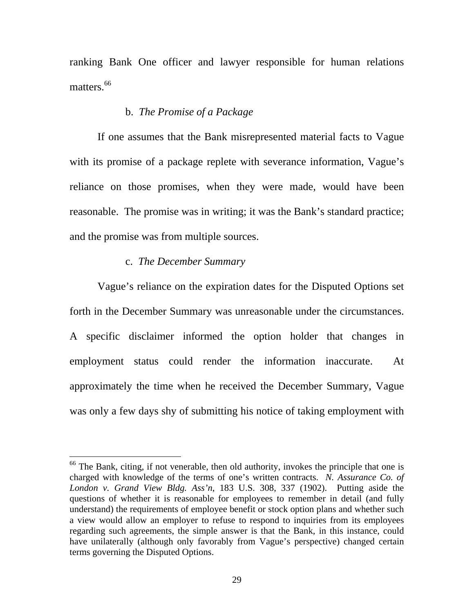ranking Bank One officer and lawyer responsible for human relations matters<sup>66</sup>

### b. *The Promise of a Package*

 If one assumes that the Bank misrepresented material facts to Vague with its promise of a package replete with severance information, Vague's reliance on those promises, when they were made, would have been reasonable. The promise was in writing; it was the Bank's standard practice; and the promise was from multiple sources.

#### c. *The December Summary*

 $\overline{a}$ 

 Vague's reliance on the expiration dates for the Disputed Options set forth in the December Summary was unreasonable under the circumstances. A specific disclaimer informed the option holder that changes in employment status could render the information inaccurate. At approximately the time when he received the December Summary, Vague was only a few days shy of submitting his notice of taking employment with

 $66$  The Bank, citing, if not venerable, then old authority, invokes the principle that one is charged with knowledge of the terms of one's written contracts. *N. Assurance Co. of London v. Grand View Bldg. Ass'n*, 183 U.S. 308, 337 (1902). Putting aside the questions of whether it is reasonable for employees to remember in detail (and fully understand) the requirements of employee benefit or stock option plans and whether such a view would allow an employer to refuse to respond to inquiries from its employees regarding such agreements, the simple answer is that the Bank, in this instance, could have unilaterally (although only favorably from Vague's perspective) changed certain terms governing the Disputed Options.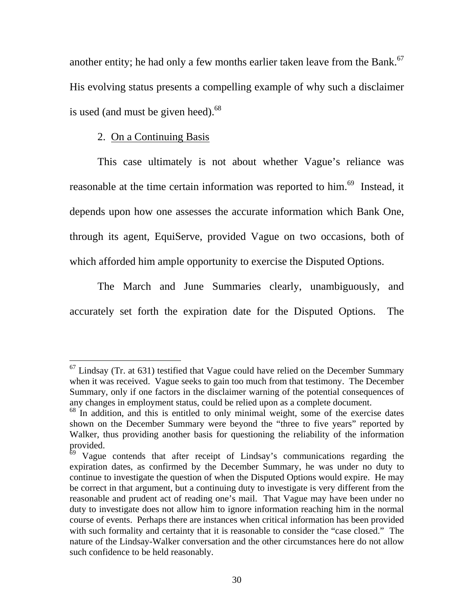another entity; he had only a few months earlier taken leave from the Bank.<sup>67</sup> His evolving status presents a compelling example of why such a disclaimer is used (and must be given heed). $68$ 

### 2. On a Continuing Basis

 $\overline{a}$ 

 This case ultimately is not about whether Vague's reliance was reasonable at the time certain information was reported to him.<sup>69</sup> Instead, it depends upon how one assesses the accurate information which Bank One, through its agent, EquiServe, provided Vague on two occasions, both of which afforded him ample opportunity to exercise the Disputed Options.

 The March and June Summaries clearly, unambiguously, and accurately set forth the expiration date for the Disputed Options. The

 $67$  Lindsay (Tr. at 631) testified that Vague could have relied on the December Summary when it was received. Vague seeks to gain too much from that testimony. The December Summary, only if one factors in the disclaimer warning of the potential consequences of any changes in employment status, could be relied upon as a complete document.

<sup>&</sup>lt;sup>68</sup> In addition, and this is entitled to only minimal weight, some of the exercise dates shown on the December Summary were beyond the "three to five years" reported by Walker, thus providing another basis for questioning the reliability of the information provided.

 $69$  Vague contends that after receipt of Lindsay's communications regarding the expiration dates, as confirmed by the December Summary, he was under no duty to continue to investigate the question of when the Disputed Options would expire. He may be correct in that argument, but a continuing duty to investigate is very different from the reasonable and prudent act of reading one's mail. That Vague may have been under no duty to investigate does not allow him to ignore information reaching him in the normal course of events. Perhaps there are instances when critical information has been provided with such formality and certainty that it is reasonable to consider the "case closed." The nature of the Lindsay-Walker conversation and the other circumstances here do not allow such confidence to be held reasonably.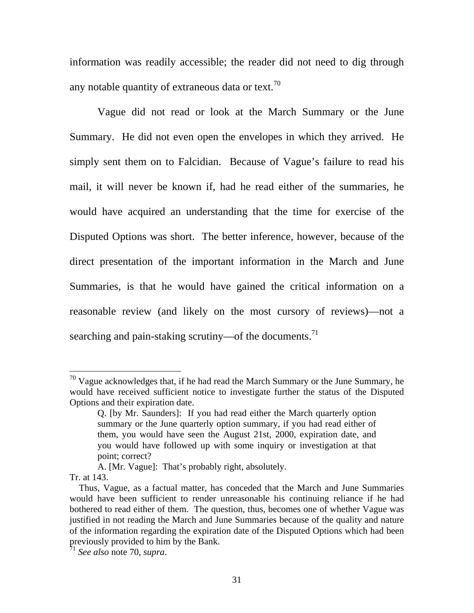information was readily accessible; the reader did not need to dig through any notable quantity of extraneous data or text.<sup>70</sup>

 Vague did not read or look at the March Summary or the June Summary. He did not even open the envelopes in which they arrived. He simply sent them on to Falcidian. Because of Vague's failure to read his mail, it will never be known if, had he read either of the summaries, he would have acquired an understanding that the time for exercise of the Disputed Options was short. The better inference, however, because of the direct presentation of the important information in the March and June Summaries, is that he would have gained the critical information on a reasonable review (and likely on the most cursory of reviews)—not a searching and pain-staking scrutiny—of the documents.<sup>71</sup>

 $70$  Vague acknowledges that, if he had read the March Summary or the June Summary, he would have received sufficient notice to investigate further the status of the Disputed Options and their expiration date.

Q. [by Mr. Saunders]: If you had read either the March quarterly option summary or the June quarterly option summary, if you had read either of them, you would have seen the August 21st, 2000, expiration date, and you would have followed up with some inquiry or investigation at that point; correct?

A. [Mr. Vague]: That's probably right, absolutely.

Tr. at 143.

Thus, Vague, as a factual matter, has conceded that the March and June Summaries would have been sufficient to render unreasonable his continuing reliance if he had bothered to read either of them. The question, thus, becomes one of whether Vague was justified in not reading the March and June Summaries because of the quality and nature of the information regarding the expiration date of the Disputed Options which had been previously provided to him by the Bank.

<sup>71</sup> *See also* note 70, *supra*.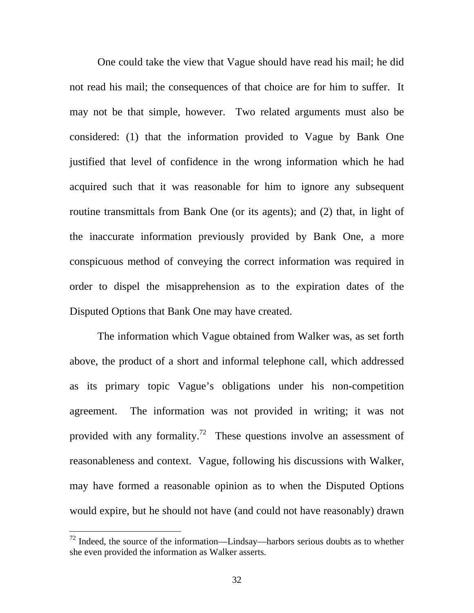One could take the view that Vague should have read his mail; he did not read his mail; the consequences of that choice are for him to suffer. It may not be that simple, however. Two related arguments must also be considered: (1) that the information provided to Vague by Bank One justified that level of confidence in the wrong information which he had acquired such that it was reasonable for him to ignore any subsequent routine transmittals from Bank One (or its agents); and (2) that, in light of the inaccurate information previously provided by Bank One, a more conspicuous method of conveying the correct information was required in order to dispel the misapprehension as to the expiration dates of the Disputed Options that Bank One may have created.

 The information which Vague obtained from Walker was, as set forth above, the product of a short and informal telephone call, which addressed as its primary topic Vague's obligations under his non-competition agreement. The information was not provided in writing; it was not provided with any formality.<sup>72</sup> These questions involve an assessment of reasonableness and context. Vague, following his discussions with Walker, may have formed a reasonable opinion as to when the Disputed Options would expire, but he should not have (and could not have reasonably) drawn

 $72$  Indeed, the source of the information—Lindsay—harbors serious doubts as to whether she even provided the information as Walker asserts.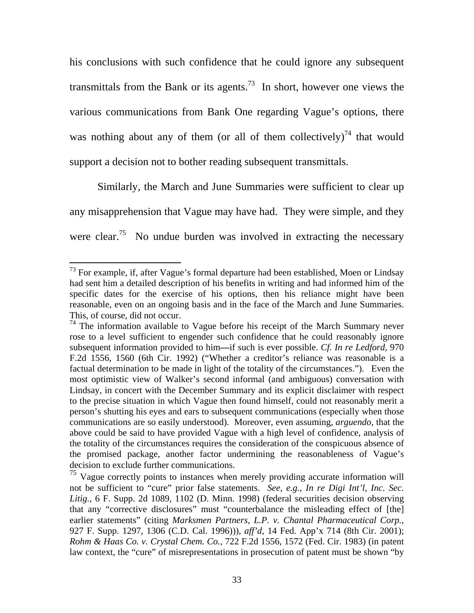his conclusions with such confidence that he could ignore any subsequent transmittals from the Bank or its agents.<sup>73</sup> In short, however one views the various communications from Bank One regarding Vague's options, there was nothing about any of them (or all of them collectively)<sup>74</sup> that would support a decision not to bother reading subsequent transmittals.

 Similarly, the March and June Summaries were sufficient to clear up any misapprehension that Vague may have had. They were simple, and they were clear.<sup>75</sup> No undue burden was involved in extracting the necessary

 $73$  For example, if, after Vague's formal departure had been established, Moen or Lindsay had sent him a detailed description of his benefits in writing and had informed him of the specific dates for the exercise of his options, then his reliance might have been reasonable, even on an ongoing basis and in the face of the March and June Summaries. This, of course, did not occur.

 $74$  The information available to Vague before his receipt of the March Summary never rose to a level sufficient to engender such confidence that he could reasonably ignore subsequent information provided to him**—**if such is ever possible. *Cf. In re Ledford*, 970 F.2d 1556, 1560 (6th Cir. 1992) ("Whether a creditor's reliance was reasonable is a factual determination to be made in light of the totality of the circumstances.").Even the most optimistic view of Walker's second informal (and ambiguous) conversation with Lindsay, in concert with the December Summary and its explicit disclaimer with respect to the precise situation in which Vague then found himself, could not reasonably merit a person's shutting his eyes and ears to subsequent communications (especially when those communications are so easily understood). Moreover, even assuming, *arguendo*, that the above could be said to have provided Vague with a high level of confidence, analysis of the totality of the circumstances requires the consideration of the conspicuous absence of the promised package, another factor undermining the reasonableness of Vague's

decision to exclude further communications.<br><sup>75</sup> Vague correctly points to instances when merely providing accurate information will not be sufficient to "cure" prior false statements. *See, e.g.*, *In re Digi Int'l, Inc. Sec. Litig.*, 6 F. Supp. 2d 1089, 1102 (D. Minn. 1998) (federal securities decision observing that any "corrective disclosures" must "counterbalance the misleading effect of [the] earlier statements" (citing *Marksmen Partners, L.P. v. Chantal Pharmaceutical Corp.*, 927 F. Supp. 1297, 1306 (C.D. Cal. 1996))), *aff'd*, 14 Fed. App'x 714 (8th Cir. 2001); *Rohm & Haas Co. v. Crystal Chem. Co.*, 722 F.2d 1556, 1572 (Fed. Cir. 1983) (in patent law context, the "cure" of misrepresentations in prosecution of patent must be shown "by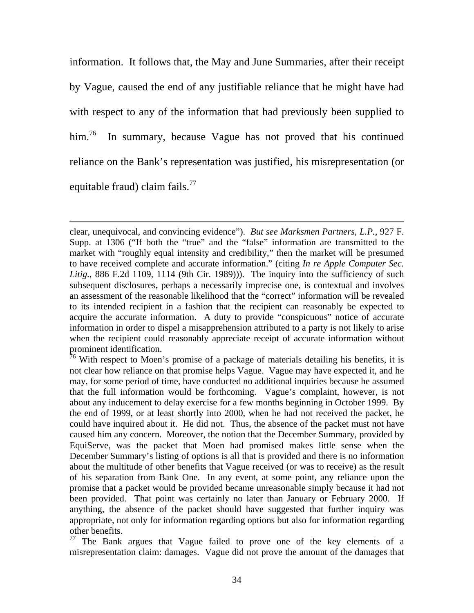information. It follows that, the May and June Summaries, after their receipt by Vague, caused the end of any justifiable reliance that he might have had with respect to any of the information that had previously been supplied to him.<sup>76</sup> In summary, because Vague has not proved that his continued reliance on the Bank's representation was justified, his misrepresentation (or equitable fraud) claim fails. $^{77}$ 

clear, unequivocal, and convincing evidence"). *But see Marksmen Partners, L.P.*, 927 F. Supp. at 1306 ("If both the "true" and the "false" information are transmitted to the market with "roughly equal intensity and credibility," then the market will be presumed to have received complete and accurate information." (citing *In re Apple Computer Sec. Litig.*, 886 F.2d 1109, 1114 (9th Cir. 1989))). The inquiry into the sufficiency of such subsequent disclosures, perhaps a necessarily imprecise one, is contextual and involves an assessment of the reasonable likelihood that the "correct" information will be revealed to its intended recipient in a fashion that the recipient can reasonably be expected to acquire the accurate information. A duty to provide "conspicuous" notice of accurate information in order to dispel a misapprehension attributed to a party is not likely to arise when the recipient could reasonably appreciate receipt of accurate information without prominent identification.

 $\overline{a}$ 

 $76$  With respect to Moen's promise of a package of materials detailing his benefits, it is not clear how reliance on that promise helps Vague. Vague may have expected it, and he may, for some period of time, have conducted no additional inquiries because he assumed that the full information would be forthcoming. Vague's complaint, however, is not about any inducement to delay exercise for a few months beginning in October 1999. By the end of 1999, or at least shortly into 2000, when he had not received the packet, he could have inquired about it. He did not. Thus, the absence of the packet must not have caused him any concern. Moreover, the notion that the December Summary, provided by EquiServe, was the packet that Moen had promised makes little sense when the December Summary's listing of options is all that is provided and there is no information about the multitude of other benefits that Vague received (or was to receive) as the result of his separation from Bank One. In any event, at some point, any reliance upon the promise that a packet would be provided became unreasonable simply because it had not been provided. That point was certainly no later than January or February 2000. If anything, the absence of the packet should have suggested that further inquiry was appropriate, not only for information regarding options but also for information regarding other benefits.

 $77$  The Bank argues that Vague failed to prove one of the key elements of a misrepresentation claim: damages. Vague did not prove the amount of the damages that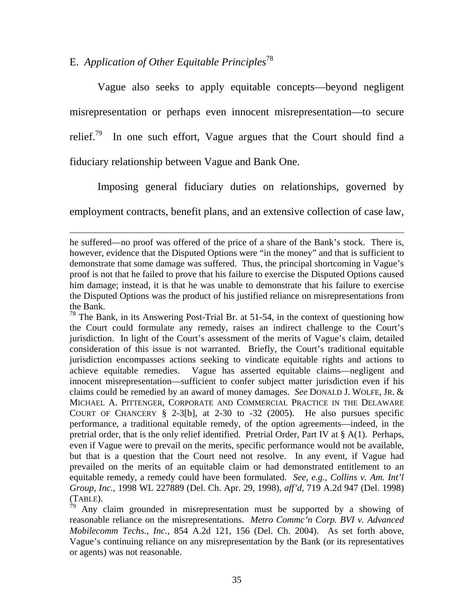# E. *Application of Other Equitable Principles*<sup>78</sup>

 $\overline{a}$ 

 Vague also seeks to apply equitable concepts—beyond negligent misrepresentation or perhaps even innocent misrepresentation—to secure relief.<sup>79</sup> In one such effort, Vague argues that the Court should find a fiduciary relationship between Vague and Bank One.

 Imposing general fiduciary duties on relationships, governed by employment contracts, benefit plans, and an extensive collection of case law,

he suffered—no proof was offered of the price of a share of the Bank's stock. There is, however, evidence that the Disputed Options were "in the money" and that is sufficient to demonstrate that some damage was suffered. Thus, the principal shortcoming in Vague's proof is not that he failed to prove that his failure to exercise the Disputed Options caused him damage; instead, it is that he was unable to demonstrate that his failure to exercise the Disputed Options was the product of his justified reliance on misrepresentations from the Bank.

 $78$  The Bank, in its Answering Post-Trial Br. at 51-54, in the context of questioning how the Court could formulate any remedy, raises an indirect challenge to the Court's jurisdiction. In light of the Court's assessment of the merits of Vague's claim, detailed consideration of this issue is not warranted. Briefly, the Court's traditional equitable jurisdiction encompasses actions seeking to vindicate equitable rights and actions to achieve equitable remedies. Vague has asserted equitable claims—negligent and innocent misrepresentation—sufficient to confer subject matter jurisdiction even if his claims could be remedied by an award of money damages. *See* DONALD J. WOLFE, JR. & MICHAEL A. PITTENGER, CORPORATE AND COMMERCIAL PRACTICE IN THE DELAWARE COURT OF CHANCERY  $\S$  2-3[b], at 2-30 to -32 (2005). He also pursues specific performance, a traditional equitable remedy, of the option agreements—indeed, in the pretrial order, that is the only relief identified. Pretrial Order, Part IV at § A(1). Perhaps, even if Vague were to prevail on the merits, specific performance would not be available, but that is a question that the Court need not resolve. In any event, if Vague had prevailed on the merits of an equitable claim or had demonstrated entitlement to an equitable remedy, a remedy could have been formulated. *See, e.g.*, *Collins v. Am. Int'l Group, Inc.*, 1998 WL 227889 (Del. Ch. Apr. 29, 1998), *aff'd*, 719 A.2d 947 (Del. 1998)  $(TABLE)$ .

Any claim grounded in misrepresentation must be supported by a showing of reasonable reliance on the misrepresentations. *Metro Commc'n Corp. BVI v. Advanced Mobilecomm Techs., Inc.*, 854 A.2d 121, 156 (Del. Ch. 2004). As set forth above, Vague's continuing reliance on any misrepresentation by the Bank (or its representatives or agents) was not reasonable.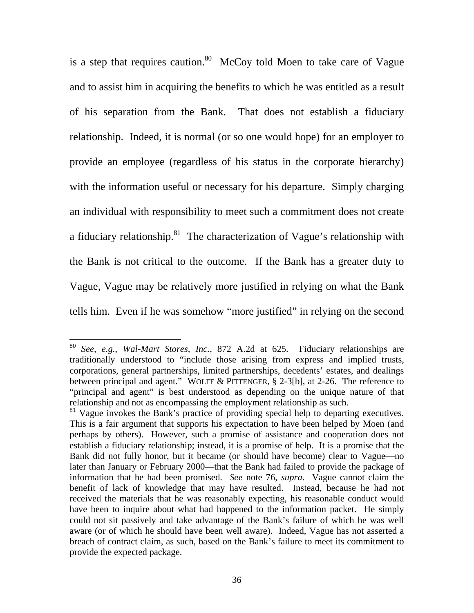is a step that requires caution.<sup>80</sup> McCoy told Moen to take care of Vague and to assist him in acquiring the benefits to which he was entitled as a result of his separation from the Bank. That does not establish a fiduciary relationship. Indeed, it is normal (or so one would hope) for an employer to provide an employee (regardless of his status in the corporate hierarchy) with the information useful or necessary for his departure. Simply charging an individual with responsibility to meet such a commitment does not create a fiduciary relationship. $81$  The characterization of Vague's relationship with the Bank is not critical to the outcome. If the Bank has a greater duty to Vague, Vague may be relatively more justified in relying on what the Bank tells him. Even if he was somehow "more justified" in relying on the second

<sup>80</sup> *See, e.g.*, *Wal-Mart Stores, Inc.*, 872 A.2d at 625. Fiduciary relationships are traditionally understood to "include those arising from express and implied trusts, corporations, general partnerships, limited partnerships, decedents' estates, and dealings between principal and agent." WOLFE & PITTENGER, § 2-3[b], at 2-26. The reference to "principal and agent" is best understood as depending on the unique nature of that relationship and not as encompassing the employment relationship as such.

<sup>&</sup>lt;sup>81</sup> Vague invokes the Bank's practice of providing special help to departing executives. This is a fair argument that supports his expectation to have been helped by Moen (and perhaps by others). However, such a promise of assistance and cooperation does not establish a fiduciary relationship; instead, it is a promise of help. It is a promise that the Bank did not fully honor, but it became (or should have become) clear to Vague—no later than January or February 2000—that the Bank had failed to provide the package of information that he had been promised. *See* note 76, *supra*. Vague cannot claim the benefit of lack of knowledge that may have resulted. Instead, because he had not received the materials that he was reasonably expecting, his reasonable conduct would have been to inquire about what had happened to the information packet. He simply could not sit passively and take advantage of the Bank's failure of which he was well aware (or of which he should have been well aware). Indeed, Vague has not asserted a breach of contract claim, as such, based on the Bank's failure to meet its commitment to provide the expected package.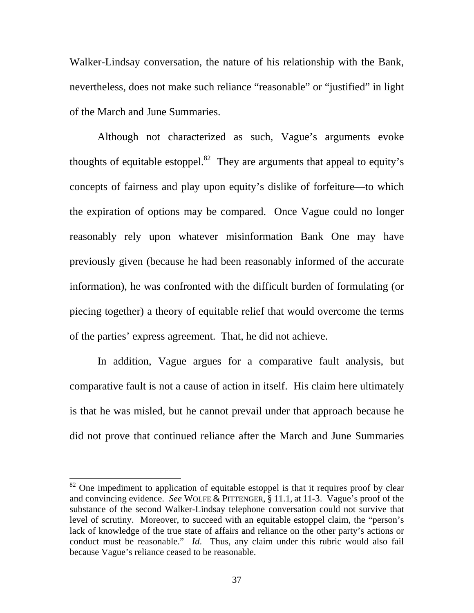Walker-Lindsay conversation, the nature of his relationship with the Bank, nevertheless, does not make such reliance "reasonable" or "justified" in light of the March and June Summaries.

 Although not characterized as such, Vague's arguments evoke thoughts of equitable estoppel.<sup>82</sup> They are arguments that appeal to equity's concepts of fairness and play upon equity's dislike of forfeiture—to which the expiration of options may be compared. Once Vague could no longer reasonably rely upon whatever misinformation Bank One may have previously given (because he had been reasonably informed of the accurate information), he was confronted with the difficult burden of formulating (or piecing together) a theory of equitable relief that would overcome the terms of the parties' express agreement. That, he did not achieve.

 In addition, Vague argues for a comparative fault analysis, but comparative fault is not a cause of action in itself. His claim here ultimately is that he was misled, but he cannot prevail under that approach because he did not prove that continued reliance after the March and June Summaries

 $82$  One impediment to application of equitable estoppel is that it requires proof by clear and convincing evidence. *See* WOLFE & PITTENGER, § 11.1, at 11-3. Vague's proof of the substance of the second Walker-Lindsay telephone conversation could not survive that level of scrutiny. Moreover, to succeed with an equitable estoppel claim, the "person's lack of knowledge of the true state of affairs and reliance on the other party's actions or conduct must be reasonable." *Id*. Thus, any claim under this rubric would also fail because Vague's reliance ceased to be reasonable.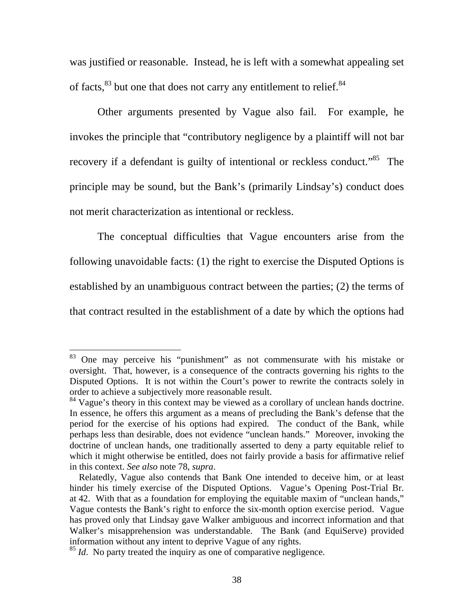was justified or reasonable. Instead, he is left with a somewhat appealing set of facts,<sup>83</sup> but one that does not carry any entitlement to relief.<sup>84</sup>

 Other arguments presented by Vague also fail. For example, he invokes the principle that "contributory negligence by a plaintiff will not bar recovery if a defendant is guilty of intentional or reckless conduct."<sup>85</sup> The principle may be sound, but the Bank's (primarily Lindsay's) conduct does not merit characterization as intentional or reckless.

 The conceptual difficulties that Vague encounters arise from the following unavoidable facts: (1) the right to exercise the Disputed Options is established by an unambiguous contract between the parties; (2) the terms of that contract resulted in the establishment of a date by which the options had

 $83$  One may perceive his "punishment" as not commensurate with his mistake or oversight. That, however, is a consequence of the contracts governing his rights to the Disputed Options. It is not within the Court's power to rewrite the contracts solely in order to achieve a subjectively more reasonable result.

<sup>&</sup>lt;sup>84</sup> Vague's theory in this context may be viewed as a corollary of unclean hands doctrine. In essence, he offers this argument as a means of precluding the Bank's defense that the period for the exercise of his options had expired. The conduct of the Bank, while perhaps less than desirable, does not evidence "unclean hands." Moreover, invoking the doctrine of unclean hands, one traditionally asserted to deny a party equitable relief to which it might otherwise be entitled, does not fairly provide a basis for affirmative relief in this context. *See also* note 78, *supra*.

Relatedly, Vague also contends that Bank One intended to deceive him, or at least hinder his timely exercise of the Disputed Options. Vague's Opening Post-Trial Br. at 42. With that as a foundation for employing the equitable maxim of "unclean hands," Vague contests the Bank's right to enforce the six-month option exercise period. Vague has proved only that Lindsay gave Walker ambiguous and incorrect information and that Walker's misapprehension was understandable. The Bank (and EquiServe) provided information without any intent to deprive Vague of any rights.

<sup>&</sup>lt;sup>85</sup> *Id*. No party treated the inquiry as one of comparative negligence.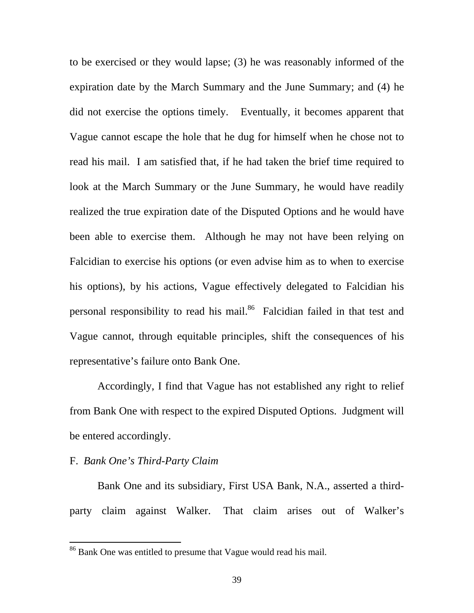to be exercised or they would lapse; (3) he was reasonably informed of the expiration date by the March Summary and the June Summary; and (4) he did not exercise the options timely. Eventually, it becomes apparent that Vague cannot escape the hole that he dug for himself when he chose not to read his mail. I am satisfied that, if he had taken the brief time required to look at the March Summary or the June Summary, he would have readily realized the true expiration date of the Disputed Options and he would have been able to exercise them. Although he may not have been relying on Falcidian to exercise his options (or even advise him as to when to exercise his options), by his actions, Vague effectively delegated to Falcidian his personal responsibility to read his mail.<sup>86</sup> Falcidian failed in that test and Vague cannot, through equitable principles, shift the consequences of his representative's failure onto Bank One.

 Accordingly, I find that Vague has not established any right to relief from Bank One with respect to the expired Disputed Options. Judgment will be entered accordingly.

### F. *Bank One's Third-Party Claim*

 $\overline{a}$ 

 Bank One and its subsidiary, First USA Bank, N.A., asserted a thirdparty claim against Walker. That claim arises out of Walker's

 $86$  Bank One was entitled to presume that Vague would read his mail.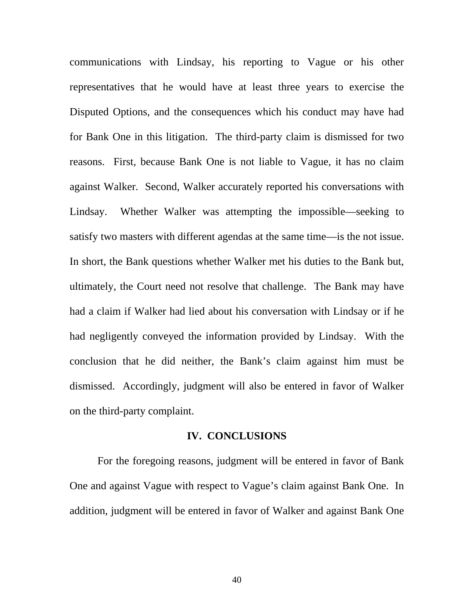communications with Lindsay, his reporting to Vague or his other representatives that he would have at least three years to exercise the Disputed Options, and the consequences which his conduct may have had for Bank One in this litigation. The third-party claim is dismissed for two reasons. First, because Bank One is not liable to Vague, it has no claim against Walker. Second, Walker accurately reported his conversations with Lindsay. Whether Walker was attempting the impossible—seeking to satisfy two masters with different agendas at the same time—is the not issue. In short, the Bank questions whether Walker met his duties to the Bank but, ultimately, the Court need not resolve that challenge. The Bank may have had a claim if Walker had lied about his conversation with Lindsay or if he had negligently conveyed the information provided by Lindsay. With the conclusion that he did neither, the Bank's claim against him must be dismissed. Accordingly, judgment will also be entered in favor of Walker on the third-party complaint.

#### **IV. CONCLUSIONS**

 For the foregoing reasons, judgment will be entered in favor of Bank One and against Vague with respect to Vague's claim against Bank One. In addition, judgment will be entered in favor of Walker and against Bank One

40